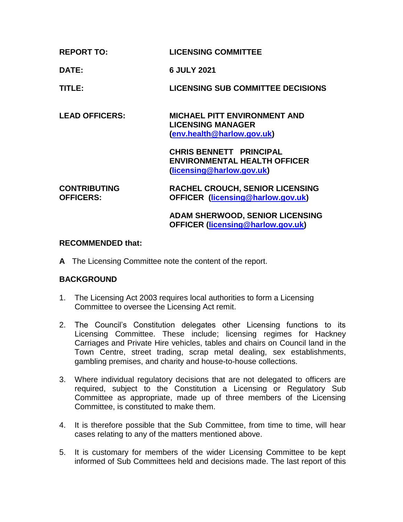| <b>REPORT TO:</b> | <b>LICENSING COMMITTEE</b> |
|-------------------|----------------------------|
|                   |                            |

**DATE: 6 JULY 2021**

**TITLE: LICENSING SUB COMMITTEE DECISIONS**

**LEAD OFFICERS: MICHAEL PITT ENVIRONMENT AND LICENSING MANAGER [\(env.health@harlow.gov.uk\)](mailto:env.health@harlow.gov.uk)**

> **CHRIS BENNETT PRINCIPAL ENVIRONMENTAL HEALTH OFFICER [\(licensing@harlow.gov.uk\)](mailto:licensing@harlow.gov.uk)**

#### **CONTRIBUTING OFFICERS: RACHEL CROUCH, SENIOR LICENSING OFFICER [\(licensing@harlow.gov.uk\)](mailto:licensing@harlow.gov.uk)**

**ADAM SHERWOOD, SENIOR LICENSING OFFICER [\(licensing@harlow.gov.uk\)](mailto:licensing@harlow.gov.uk)**

# **RECOMMENDED that:**

**A** The Licensing Committee note the content of the report.

# **BACKGROUND**

- 1. The Licensing Act 2003 requires local authorities to form a Licensing Committee to oversee the Licensing Act remit.
- 2. The Council's Constitution delegates other Licensing functions to its Licensing Committee. These include; licensing regimes for Hackney Carriages and Private Hire vehicles, tables and chairs on Council land in the Town Centre, street trading, scrap metal dealing, sex establishments, gambling premises, and charity and house-to-house collections.
- 3. Where individual regulatory decisions that are not delegated to officers are required, subject to the Constitution a Licensing or Regulatory Sub Committee as appropriate, made up of three members of the Licensing Committee, is constituted to make them.
- 4. It is therefore possible that the Sub Committee, from time to time, will hear cases relating to any of the matters mentioned above.
- 5. It is customary for members of the wider Licensing Committee to be kept informed of Sub Committees held and decisions made. The last report of this